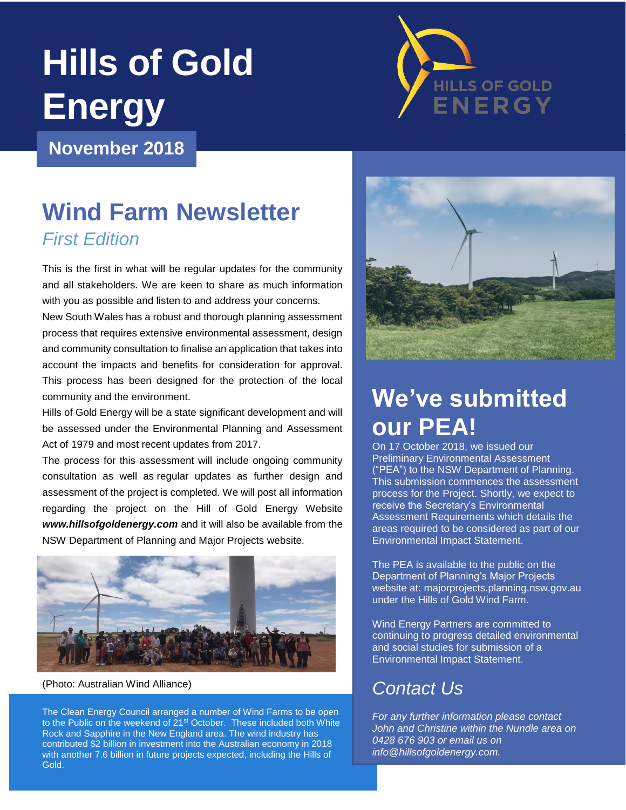# **Hills of Gold Energy**



### **November 2018**

# **Wind Farm Newsletter** *First Edition*

This is the first in what will be regular updates for the community and all stakeholders. We are keen to share as much information with you as possible and listen to and address your concerns.

New South Wales has a robust and thorough planning assessment process that requires extensive environmental assessment, design and community consultation to finalise an application that takes into account the impacts and benefits for consideration for approval. This process has been designed for the protection of the local community and the environment.

Hills of Gold Energy will be a state significant development and will be assessed under the Environmental Planning and Assessment Act of 1979 and most recent updates from 2017.

The process for this assessment will include ongoing community consultation as well as regular updates as further design and assessment of the project is completed. We will post all information regarding the project on the Hill of Gold Energy Website *www.hillsofgoldenergy.com* and it will also be available from the NSW Department of Planning and Major Projects website.



(Photo: Australian Wind Alliance)

The Clean Energy Council arranged a number of Wind Farms to be open to the Public on the weekend of 21<sup>st</sup> October. These included both White Rock and Sapphire in the New England area. The wind industry has contributed \$2 billion in investment into the Australian economy in 2018 with another 7.6 billion in future projects expected, including the Hills of Gold.



# **We've submitted our PEA!**

On 17 October 2018, we issued our Preliminary Environmental Assessment ("PEA") to the NSW Department of Planning. This submission commences the assessment process for the Project. Shortly, we expect to receive the Secretary's Environmental Assessment Requirements which details the areas required to be considered as part of our Environmental Impact Statement.

The PEA is available to the public on the Department of Planning's Major Projects website at: majorprojects.planning.nsw.gov.au under the Hills of Gold Wind Farm.

Wind Energy Partners are committed to continuing to progress detailed environmental and social studies for submission of a Environmental Impact Statement.

## *Contact Us*

*For any further information please contact John and Christine within the Nundle area on 0428 676 903 or email us on info@hillsofgoldenergy.com.*